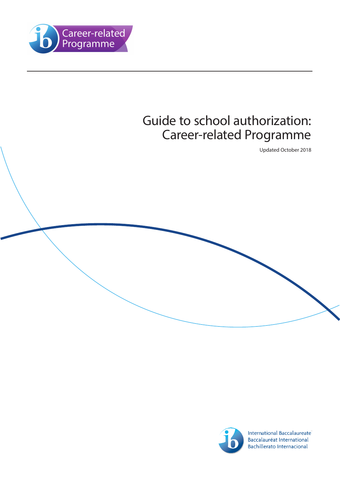

# Guide to school authorization: Career-related Programme

Updated October 2018



International Baccalaureate® Baccalauréat International **Bachillerato Internacional**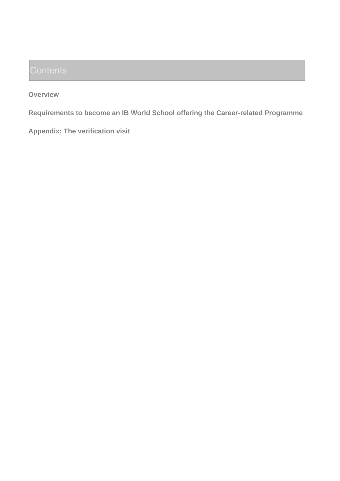**Overview**

**Requirements to become an IB World School offering the Career-related Programme**

**Appendix: The verification visit**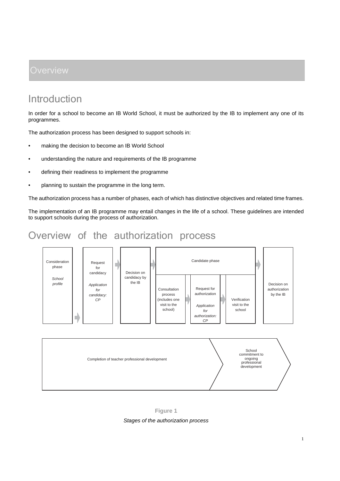## Introduction

In order for a school to become an IB World School, it must be authorized by the IB to implement any one of its programmes.

The authorization process has been designed to support schools in:

- making the decision to become an IB World School
- understanding the nature and requirements of the IB programme
- defining their readiness to implement the programme
- planning to sustain the programme in the long term.

The authorization process has a number of phases, each of which has distinctive objectives and related time frames.

The implementation of an IB programme may entail changes in the life of a school. These guidelines are intended to support schools during the process of authorization.

## Overview of the authorization process



**Figure 1**

*Stages of the authorization process*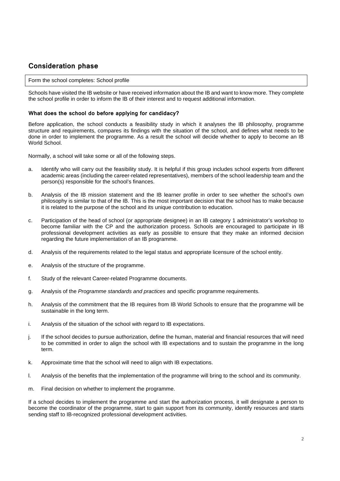#### **Consideration phase**

#### Form the school completes: School profile

Schools have visited the IB website or have received information about the IB and want to know more. They complete the school profile in order to inform the IB of their interest and to request additional information.

#### **What does the school do before applying for candidacy?**

Before application, the school conducts a feasibility study in which it analyses the IB philosophy, programme structure and requirements, compares its findings with the situation of the school, and defines what needs to be done in order to implement the programme. As a result the school will decide whether to apply to become an IB World School.

Normally, a school will take some or all of the following steps.

- a. Identify who will carry out the feasibility study. It is helpful if this group includes school experts from different academic areas (including the career-related representatives), members of the school leadership team and the person(s) responsible for the school's finances.
- b. Analysis of the IB mission statement and the IB learner profile in order to see whether the school's own philosophy is similar to that of the IB. This is the most important decision that the school has to make because it is related to the purpose of the school and its unique contribution to education.
- c. Participation of the head of school (or appropriate designee) in an IB category 1 administrator's workshop to become familiar with the CP and the authorization process. Schools are encouraged to participate in IB professional development activities as early as possible to ensure that they make an informed decision regarding the future implementation of an IB programme.
- d. Analysis of the requirements related to the legal status and appropriate licensure of the school entity.
- e. Analysis of the structure of the programme.
- f. Study of the relevant Career-related Programme documents.
- g. Analysis of the *Programme standards and practices* and specific programme requirements.
- h. Analysis of the commitment that the IB requires from IB World Schools to ensure that the programme will be sustainable in the long term.
- i. Analysis of the situation of the school with regard to IB expectations.
- j. If the school decides to pursue authorization, define the human, material and financial resources that will need to be committed in order to align the school with IB expectations and to sustain the programme in the long term.
- k. Approximate time that the school will need to align with IB expectations.
- l. Analysis of the benefits that the implementation of the programme will bring to the school and its community.
- m. Final decision on whether to implement the programme.

If a school decides to implement the programme and start the authorization process, it will designate a person to become the coordinator of the programme, start to gain support from its community, identify resources and starts sending staff to IB-recognized professional development activities.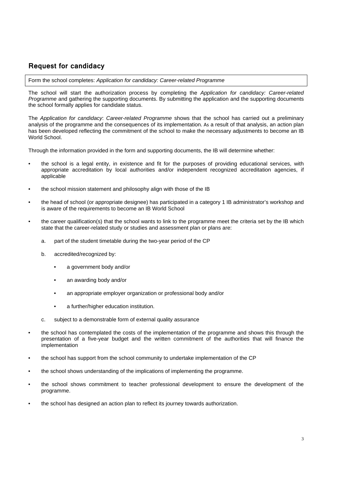#### **Request for candidacy**

Form the school completes: *Application for candidacy: Career-related Programme*

The school will start the authorization process by completing the *Application for candidacy: Career-related Programme* and gathering the supporting documents. By submitting the application and the supporting documents the school formally applies for candidate status.

The *Application for candidacy*: *Career-related Programme* shows that the school has carried out a preliminary analysis of the programme and the consequences of its implementation. As a result of that analysis, an action plan has been developed reflecting the commitment of the school to make the necessary adjustments to become an IB World School.

Through the information provided in the form and supporting documents, the IB will determine whether:

- the school is a legal entity, in existence and fit for the purposes of providing educational services, with appropriate accreditation by local authorities and/or independent recognized accreditation agencies, if applicable
- the school mission statement and philosophy align with those of the IB
- the head of school (or appropriate designee) has participated in a category 1 IB administrator's workshop and is aware of the requirements to become an IB World School
- the career qualification(s) that the school wants to link to the programme meet the criteria set by the IB which state that the career-related study or studies and assessment plan or plans are:
	- a. part of the student timetable during the two-year period of the CP
	- b. accredited/recognized by:
		- a government body and/or
		- an awarding body and/or
		- an appropriate employer organization or professional body and/or
		- a further/higher education institution.
	- c. subject to a demonstrable form of external quality assurance
- the school has contemplated the costs of the implementation of the programme and shows this through the presentation of a five-year budget and the written commitment of the authorities that will finance the implementation
- the school has support from the school community to undertake implementation of the CP
- the school shows understanding of the implications of implementing the programme.
- the school shows commitment to teacher professional development to ensure the development of the programme.
- the school has designed an action plan to reflect its journey towards authorization.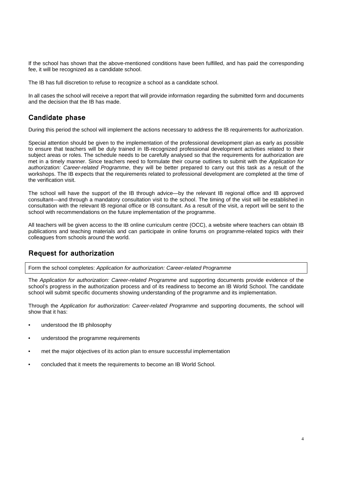If the school has shown that the above-mentioned conditions have been fulfilled, and has paid the corresponding fee, it will be recognized as a candidate school.

The IB has full discretion to refuse to recognize a school as a candidate school.

In all cases the school will receive a report that will provide information regarding the submitted form and documents and the decision that the IB has made.

#### **Candidate phase**

During this period the school will implement the actions necessary to address the IB requirements for authorization.

Special attention should be given to the implementation of the professional development plan as early as possible to ensure that teachers will be duly trained in IB-recognized professional development activities related to their subject areas or roles. The schedule needs to be carefully analysed so that the requirements for authorization are met in a timely manner. Since teachers need to formulate their course outlines to submit with the *Application for authorization: Career-related Programme*, they will be better prepared to carry out this task as a result of the workshops. The IB expects that the requirements related to professional development are completed at the time of the verification visit.

The school will have the support of the IB through advice—by the relevant IB regional office and IB approved consultant—and through a mandatory consultation visit to the school. The timing of the visit will be established in consultation with the relevant IB regional office or IB consultant. As a result of the visit, a report will be sent to the school with recommendations on the future implementation of the programme.

All teachers will be given access to the IB online curriculum centre (OCC), a website where teachers can obtain IB publications and teaching materials and can participate in online forums on programme-related topics with their colleagues from schools around the world.

#### **Request for authorization**

Form the school completes: *Application for authorization: Career-related Programme*

The *Application for authorization: Career-related Programme* and supporting documents provide evidence of the school's progress in the authorization process and of its readiness to become an IB World School. The candidate school will submit specific documents showing understanding of the programme and its implementation.

Through the *Application for authorization: Career-related Programme* and supporting documents, the school will show that it has:

- understood the IB philosophy
- understood the programme requirements
- met the major objectives of its action plan to ensure successful implementation
- concluded that it meets the requirements to become an IB World School.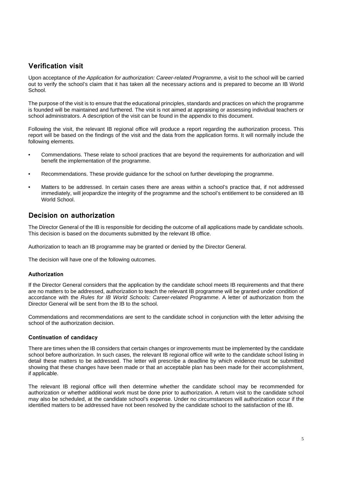### **Verification visit**

Upon acceptance of *the Application for authorization: Career-related Programme*, a visit to the school will be carried out to verify the school's claim that it has taken all the necessary actions and is prepared to become an IB World School.

The purpose of the visit is to ensure that the educational principles, standards and practices on which the programme is founded will be maintained and furthered. The visit is not aimed at appraising or assessing individual teachers or school administrators. A description of the visit can be found in the appendix to this document.

Following the visit, the relevant IB regional office will produce a report regarding the authorization process. This report will be based on the findings of the visit and the data from the application forms. It will normally include the following elements.

- Commendations. These relate to school practices that are beyond the requirements for authorization and will benefit the implementation of the programme.
- Recommendations. These provide guidance for the school on further developing the programme.
- Matters to be addressed. In certain cases there are areas within a school's practice that, if not addressed immediately, will jeopardize the integrity of the programme and the school's entitlement to be considered an IB World School.

#### **Decision on authorization**

The Director General of the IB is responsible for deciding the outcome of all applications made by candidate schools. This decision is based on the documents submitted by the relevant IB office.

Authorization to teach an IB programme may be granted or denied by the Director General.

The decision will have one of the following outcomes.

#### **Authorization**

If the Director General considers that the application by the candidate school meets IB requirements and that there are no matters to be addressed, authorization to teach the relevant IB programme will be granted under condition of accordance with the *Rules for IB World Schools: Career-related Programme*. A letter of authorization from the Director General will be sent from the IB to the school.

Commendations and recommendations are sent to the candidate school in conjunction with the letter advising the school of the authorization decision.

#### **Continuation of candidacy**

There are times when the IB considers that certain changes or improvements must be implemented by the candidate school before authorization. In such cases, the relevant IB regional office will write to the candidate school listing in detail these matters to be addressed. The letter will prescribe a deadline by which evidence must be submitted showing that these changes have been made or that an acceptable plan has been made for their accomplishment, if applicable.

The relevant IB regional office will then determine whether the candidate school may be recommended for authorization or whether additional work must be done prior to authorization. A return visit to the candidate school may also be scheduled, at the candidate school's expense. Under no circumstances will authorization occur if the identified matters to be addressed have not been resolved by the candidate school to the satisfaction of the IB.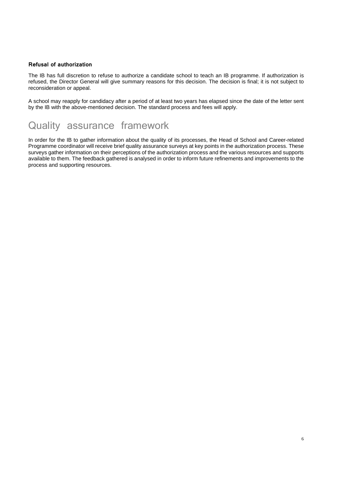#### **Refusal of authorization**

The IB has full discretion to refuse to authorize a candidate school to teach an IB programme. If authorization is refused, the Director General will give summary reasons for this decision. The decision is final; it is not subject to reconsideration or appeal.

A school may reapply for candidacy after a period of at least two years has elapsed since the date of the letter sent by the IB with the above-mentioned decision. The standard process and fees will apply.

## Quality assurance framework

In order for the IB to gather information about the quality of its processes, the Head of School and Career-related Programme coordinator will receive brief quality assurance surveys at key points in the authorization process. These surveys gather information on their perceptions of the authorization process and the various resources and supports available to them. The feedback gathered is analysed in order to inform future refinements and improvements to the process and supporting resources.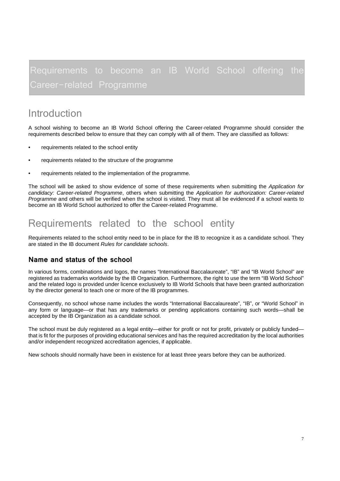# Requirements to become an IB World School offering the

## Introduction

A school wishing to become an IB World School offering the Career-related Programme should consider the requirements described below to ensure that they can comply with all of them. They are classified as follows:

- requirements related to the school entity
- requirements related to the structure of the programme
- requirements related to the implementation of the programme.

The school will be asked to show evidence of some of these requirements when submitting the *Application for candidacy: Career-related Programme*, others when submitting the *Application for authorization: Career-related Programme* and others will be verified when the school is visited. They must all be evidenced if a school wants to become an IB World School authorized to offer the Career-related Programme.

## Requirements related to the school entity

Requirements related to the school entity need to be in place for the IB to recognize it as a candidate school. They are stated in the IB document *Rules for candidate schools*.

#### **Name and status of the school**

In various forms, combinations and logos, the names "International Baccalaureate", "IB" and "IB World School" are registered as trademarks worldwide by the IB Organization. Furthermore, the right to use the term "IB World School" and the related logo is provided under licence exclusively to IB World Schools that have been granted authorization by the director general to teach one or more of the IB programmes.

Consequently, no school whose name includes the words "International Baccalaureate", "IB", or "World School" in any form or language—or that has any trademarks or pending applications containing such words—shall be accepted by the IB Organization as a candidate school.

The school must be duly registered as a legal entity—either for profit or not for profit, privately or publicly funded that is fit for the purposes of providing educational services and has the required accreditation by the local authorities and/or independent recognized accreditation agencies, if applicable.

New schools should normally have been in existence for at least three years before they can be authorized.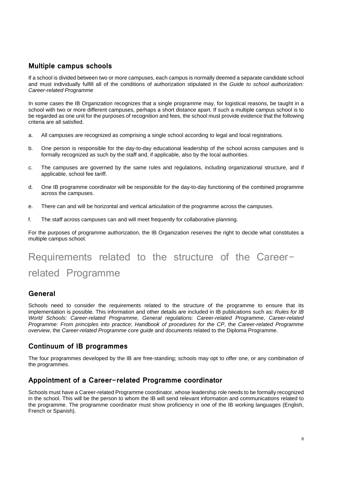#### **Multiple campus schools**

If a school is divided between two or more campuses, each campus is normally deemed a separate candidate school and must individually fulfill all of the conditions of authorization stipulated in the *Guide to school authorization: Career-related Programme*

In some cases the IB Organization recognizes that a single programme may, for logistical reasons, be taught in a school with two or more different campuses, perhaps a short distance apart. If such a multiple campus school is to be regarded as one unit for the purposes of recognition and fees, the school must provide evidence that the following criteria are all satisfied.

- a. All campuses are recognized as comprising a single school according to legal and local registrations.
- b. One person is responsible for the day-to-day educational leadership of the school across campuses and is formally recognized as such by the staff and, if applicable, also by the local authorities.
- c. The campuses are governed by the same rules and regulations, including organizational structure, and if applicable, school fee tariff.
- d. One IB programme coordinator will be responsible for the day-to-day functioning of the combined programme across the campuses.
- e. There can and will be horizontal and vertical articulation of the programme across the campuses.
- f. The staff across campuses can and will meet frequently for collaborative planning.

For the purposes of programme authorization, the IB Organization reserves the right to decide what constitutes a multiple campus school.

# Requirements related to the structure of the Careerrelated Programme

#### **General**

Schools need to consider the requirements related to the structure of the programme to ensure that its implementation is possible. This information and other details are included in IB publications such as: *Rules for IB World Schools: Career-related Programme*, *General regulations: Career-related Programme*, *Career-related Programme: From principles into practice*; *Handbook of procedures for the CP*, the *Career-related Programme overview*, the *Career-related Programme core guide* and documents related to the Diploma Programme.

#### **Continuum of IB programmes**

The four programmes developed by the IB are free-standing; schools may opt to offer one, or any combination of the programmes.

#### **Appointment of a Career-related Programme coordinator**

Schools must have a Career-related Programme coordinator, whose leadership role needs to be formally recognized in the school. This will be the person to whom the IB will send relevant information and communications related to the programme. The programme coordinator must show proficiency in one of the IB working languages (English, French or Spanish).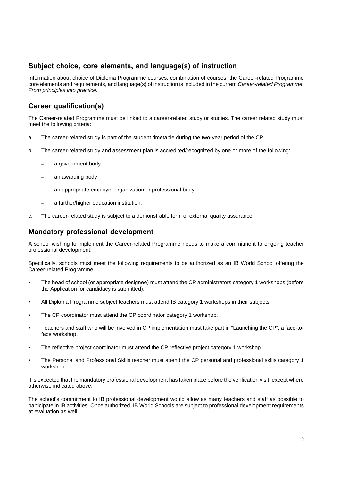### **Subject choice, core elements, and language(s) of instruction**

Information about choice of Diploma Programme courses, combination of courses, the Career-related Programme core elements and requirements, and language(s) of instruction is included in the current *Career-related Programme: From principles into practice.*

## **Career qualification(s)**

The Career-related Programme must be linked to a career-related study or studies. The career related study must meet the following criteria:

- a. The career-related study is part of the student timetable during the two-year period of the CP.
- b. The career-related study and assessment plan is accredited/recognized by one or more of the following:
	- a government body
	- an awarding body
	- an appropriate employer organization or professional body
	- a further/higher education institution.
- c. The career-related study is subject to a demonstrable form of external quality assurance.

#### **Mandatory professional development**

A school wishing to implement the Career-related Programme needs to make a commitment to ongoing teacher professional development.

Specifically, schools must meet the following requirements to be authorized as an IB World School offering the Career-related Programme.

- The head of school (or appropriate designee) must attend the CP administrators category 1 workshops (before the Application for candidacy is submitted).
- All Diploma Programme subject teachers must attend IB category 1 workshops in their subjects.
- The CP coordinator must attend the CP coordinator category 1 workshop.
- Teachers and staff who will be involved in CP implementation must take part in "Launching the CP", a face-toface workshop.
- The reflective project coordinator must attend the CP reflective project category 1 workshop.
- The Personal and Professional Skills teacher must attend the CP personal and professional skills category 1 workshop.

It is expected that the mandatory professional development has taken place before the verification visit, except where otherwise indicated above.

The school's commitment to IB professional development would allow as many teachers and staff as possible to participate in IB activities. Once authorized, IB World Schools are subject to professional development requirements at evaluation as well.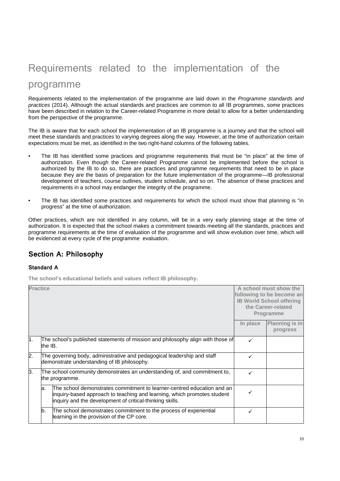# Requirements related to the implementation of the programme

Requirements related to the implementation of the programme are laid down in the *Programme standards and practices* (2014). Although the actual standards and practices are common to all IB programmes, some practices have been described in relation to the Career-related Programme in more detail to allow for a better understanding from the perspective of the programme.

The IB is aware that for each school the implementation of an IB programme is a journey and that the school will meet these standards and practices to varying degrees along the way. However, at the time of authorization certain expectations must be met, as identified in the two right-hand columns of the following tables.

- The IB has identified some practices and programme requirements that must be "in place" at the time of authorization. Even though the Career-related Programme cannot be implemented before the school is authorized by the IB to do so, there are practices and programme requirements that need to be in place because they are the basis of preparation for the future implementation of the programme—IB professional development of teachers, course outlines, student schedule, and so on. The absence of these practices and requirements in a school may endanger the integrity of the programme.
- The IB has identified some practices and requirements for which the school must show that planning is "in progress" at the time of authorization.

Other practices, which are not identified in any column, will be in a very early planning stage at the time of authorization. It is expected that the school makes a commitment towards meeting all the standards, practices and programme requirements at the time of evaluation of the programme and will show evolution over time, which will be evidenced at every cycle of the programme evaluation.

#### **Section A: Philosophy**

#### **Standard A**

**The school's educational beliefs and values reflect IB philosophy.**

| <b>Practice</b>  |         |                                                                                                                                                                                                               |          | A school must show the<br>following to be become an<br><b>IB World School offering</b><br>the Career-related<br><b>Programme</b> |
|------------------|---------|---------------------------------------------------------------------------------------------------------------------------------------------------------------------------------------------------------------|----------|----------------------------------------------------------------------------------------------------------------------------------|
|                  |         |                                                                                                                                                                                                               | In place | <b>Planning is in</b><br>progress                                                                                                |
| 1.               | the IB. | The school's published statements of mission and philosophy align with those of                                                                                                                               | ✓        |                                                                                                                                  |
| $\overline{2}$ . |         | The governing body, administrative and pedagogical leadership and staff<br>demonstrate understanding of IB philosophy.                                                                                        | ✓        |                                                                                                                                  |
| З.               |         | The school community demonstrates an understanding of, and commitment to,<br>the programme.                                                                                                                   |          |                                                                                                                                  |
|                  | la.     | The school demonstrates commitment to learner-centred education and an<br>inquiry-based approach to teaching and learning, which promotes student<br>inquiry and the development of critical-thinking skills. |          |                                                                                                                                  |
|                  | b.      | The school demonstrates commitment to the process of experiential<br>learning in the provision of the CP core.                                                                                                | ✓        |                                                                                                                                  |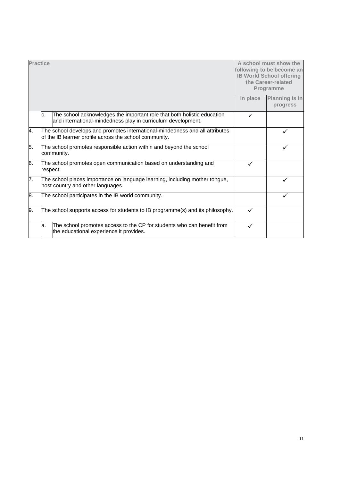| <b>Practice</b> |     |                                                                                                                                         |          | A school must show the<br>following to be become an<br><b>IB World School offering</b><br>the Career-related<br>Programme |
|-----------------|-----|-----------------------------------------------------------------------------------------------------------------------------------------|----------|---------------------------------------------------------------------------------------------------------------------------|
|                 |     |                                                                                                                                         | In place | Planning is in<br>progress                                                                                                |
|                 | c.  | The school acknowledges the important role that both holistic education<br>and international-mindedness play in curriculum development. | ✓        |                                                                                                                           |
| 4.              |     | The school develops and promotes international-mindedness and all attributes<br>of the IB learner profile across the school community.  |          | ✓                                                                                                                         |
| 5.              |     | The school promotes responsible action within and beyond the school<br>community.                                                       |          |                                                                                                                           |
| 6.              |     | The school promotes open communication based on understanding and<br>respect.                                                           | ✓        |                                                                                                                           |
| 7.              |     | The school places importance on language learning, including mother tongue,<br>host country and other languages.                        |          |                                                                                                                           |
| 8.              |     | The school participates in the IB world community.                                                                                      |          |                                                                                                                           |
| 9.              |     | The school supports access for students to IB programme(s) and its philosophy.                                                          | ✓        |                                                                                                                           |
|                 | la. | The school promotes access to the CP for students who can benefit from<br>the educational experience it provides.                       | ✓        |                                                                                                                           |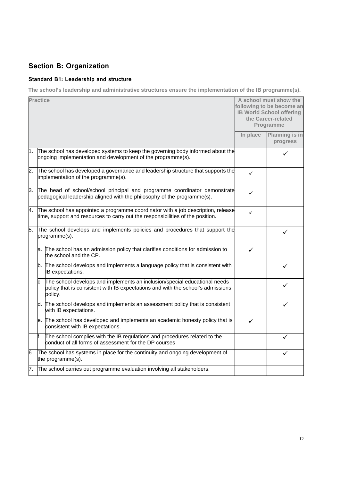## **Section B: Organization**

#### **Standard B1: Leadership and structure**

**The school's leadership and administrative structures ensure the implementation of the IB programme(s).**

|       | <b>Practice</b> |                                                                                                                                                                         |              | A school must show the<br>following to be become an<br><b>IB World School offering</b><br>the Career-related<br>Programme |
|-------|-----------------|-------------------------------------------------------------------------------------------------------------------------------------------------------------------------|--------------|---------------------------------------------------------------------------------------------------------------------------|
|       |                 |                                                                                                                                                                         | In place     | Planning is in<br>progress                                                                                                |
| 1.    |                 | The school has developed systems to keep the governing body informed about the<br>ongoing implementation and development of the programme(s).                           |              |                                                                                                                           |
| 2.    |                 | The school has developed a governance and leadership structure that supports the<br>implementation of the programme(s).                                                 | $\checkmark$ |                                                                                                                           |
| $3 -$ |                 | The head of school/school principal and programme coordinator demonstrate<br>pedagogical leadership aligned with the philosophy of the programme(s).                    | ✓            |                                                                                                                           |
| 4.    |                 | The school has appointed a programme coordinator with a job description, release<br>time, support and resources to carry out the responsibilities of the position.      | ✓            |                                                                                                                           |
| 5.    |                 | The school develops and implements policies and procedures that support the<br>programme(s).                                                                            |              | ✓                                                                                                                         |
|       | a.              | The school has an admission policy that clarifies conditions for admission to<br>the school and the CP.                                                                 | ✓            |                                                                                                                           |
|       | b.              | The school develops and implements a language policy that is consistent with<br>IB expectations.                                                                        |              | ✓                                                                                                                         |
|       | с.              | The school develops and implements an inclusion/special educational needs<br>policy that is consistent with IB expectations and with the school's admissions<br>policy. |              | ✓                                                                                                                         |
|       | d.              | The school develops and implements an assessment policy that is consistent<br>with IB expectations.                                                                     |              |                                                                                                                           |
|       | е.              | The school has developed and implements an academic honesty policy that is<br>consistent with IB expectations.                                                          | ✓            |                                                                                                                           |
|       | f.              | The school complies with the IB regulations and procedures related to the<br>conduct of all forms of assessment for the DP courses                                      |              | ✓                                                                                                                         |
| 6.    |                 | The school has systems in place for the continuity and ongoing development of<br>the programme(s).                                                                      |              |                                                                                                                           |
| 7.    |                 | The school carries out programme evaluation involving all stakeholders.                                                                                                 |              |                                                                                                                           |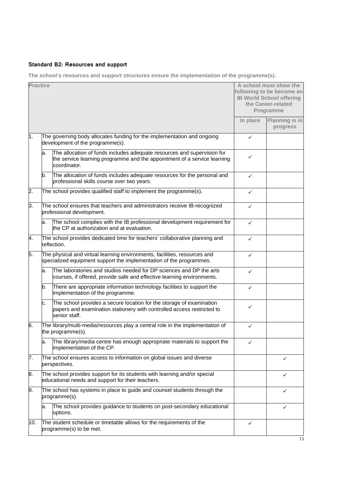#### **Standard B2: Resources and support**

**The school's resources and support structures ensure the implementation of the programme(s).**

| <b>Practice</b>  |    |                                                                                                                                                                     |              | A school must show the<br>following to be become an<br><b>IB World School offering</b><br>the Career-related<br>Programme |
|------------------|----|---------------------------------------------------------------------------------------------------------------------------------------------------------------------|--------------|---------------------------------------------------------------------------------------------------------------------------|
|                  |    |                                                                                                                                                                     | In place     | Planning is in<br>progress                                                                                                |
| 1.               |    | The governing body allocates funding for the implementation and ongoing<br>development of the programme(s).                                                         | $\checkmark$ |                                                                                                                           |
|                  | a. | The allocation of funds includes adequate resources and supervision for<br>the service learning programme and the appointment of a service learning<br>coordinator. | ✓            |                                                                                                                           |
|                  | b. | The allocation of funds includes adequate resources for the personal and<br>professional skills course over two years.                                              | $\checkmark$ |                                                                                                                           |
| $\overline{2}$ . |    | The school provides qualified staff to implement the programme(s).                                                                                                  | ✓            |                                                                                                                           |
| З.               |    | The school ensures that teachers and administrators receive IB-recognized<br>professional development.                                                              | ✓            |                                                                                                                           |
|                  | a. | The school complies with the IB professional development requirement for<br>the CP at authorization and at evaluation.                                              | $\checkmark$ |                                                                                                                           |
| 4.               |    | The school provides dedicated time for teachers' collaborative planning and<br>reflection.                                                                          | $\checkmark$ |                                                                                                                           |
| 5.               |    | The physical and virtual learning environments, facilities, resources and<br>specialized equipment support the implementation of the programmes.                    | ✓            |                                                                                                                           |
|                  | a. | The laboratories and studios needed for DP sciences and DP the arts<br>courses, if offered, provide safe and effective learning environments.                       | $\checkmark$ |                                                                                                                           |
|                  | b. | There are appropriate information technology facilities to support the<br>implementation of the programme.                                                          | ✓            |                                                                                                                           |
|                  | c. | The school provides a secure location for the storage of examination<br>papers and examination stationery with controlled access restricted to<br>senior staff.     | ✓            |                                                                                                                           |
| 6.               |    | The library/multi-media/resources play a central role in the implementation of<br>the programme(s).                                                                 | $\checkmark$ |                                                                                                                           |
|                  | a. | The library/media centre has enough appropriate materials to support the<br>implementation of the CP.                                                               | ✓            |                                                                                                                           |
| 7.               |    | The school ensures access to information on global issues and diverse<br>perspectives.                                                                              |              | ✓                                                                                                                         |
| 8.               |    | The school provides support for its students with learning and/or special<br>educational needs and support for their teachers.                                      |              | ✓                                                                                                                         |
| 9.               |    | The school has systems in place to guide and counsel students through the<br>programme(s).                                                                          |              | ✓                                                                                                                         |
|                  | a. | The school provides guidance to students on post-secondary educational<br>options.                                                                                  |              | ✓                                                                                                                         |
| 10.              |    | The student schedule or timetable allows for the requirements of the<br>programme(s) to be met.                                                                     | ✓            |                                                                                                                           |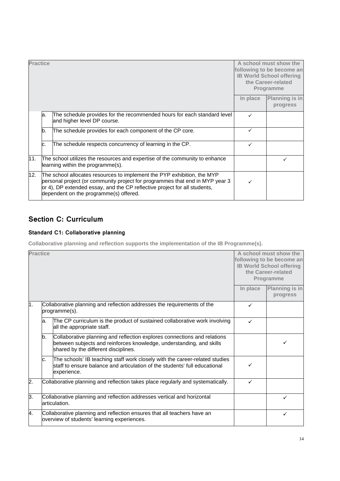| <b>Practice</b> |    |                                                                                                                                                                                                                                                                                |              | A school must show the<br>following to be become an<br><b>IB World School offering</b><br>the Career-related<br><b>Programme</b> |
|-----------------|----|--------------------------------------------------------------------------------------------------------------------------------------------------------------------------------------------------------------------------------------------------------------------------------|--------------|----------------------------------------------------------------------------------------------------------------------------------|
|                 |    |                                                                                                                                                                                                                                                                                | In place     | Planning is in<br>progress                                                                                                       |
|                 | a. | The schedule provides for the recommended hours for each standard level<br>and higher level DP course.                                                                                                                                                                         | ✓            |                                                                                                                                  |
|                 | b. | The schedule provides for each component of the CP core.                                                                                                                                                                                                                       | $\checkmark$ |                                                                                                                                  |
|                 | c. | The schedule respects concurrency of learning in the CP.                                                                                                                                                                                                                       | ✓            |                                                                                                                                  |
| 11.             |    | The school utilizes the resources and expertise of the community to enhance<br>learning within the programme(s).                                                                                                                                                               |              |                                                                                                                                  |
| 12.             |    | The school allocates resources to implement the PYP exhibition, the MYP<br>personal project (or community project for programmes that end in MYP year 3<br>or 4), DP extended essay, and the CP reflective project for all students,<br>dependent on the programme(s) offered. |              |                                                                                                                                  |

## **Section C: Curriculum**

#### **Standard C1: Collaborative planning**

**Collaborative planning and reflection supports the implementation of the IB Programme(s).**

| <b>Practice</b> |     |                                                                                                                                                                                          |          | A school must show the<br>following to be become an<br><b>IB World School offering</b><br>the Career-related<br>Programme |
|-----------------|-----|------------------------------------------------------------------------------------------------------------------------------------------------------------------------------------------|----------|---------------------------------------------------------------------------------------------------------------------------|
|                 |     |                                                                                                                                                                                          | In place | Planning is in<br>progress                                                                                                |
| 1.              |     | Collaborative planning and reflection addresses the requirements of the<br>programme(s).                                                                                                 | ✓        |                                                                                                                           |
|                 | la. | The CP curriculum is the product of sustained collaborative work involving<br>all the appropriate staff.                                                                                 | ✓        |                                                                                                                           |
|                 | b.  | Collaborative planning and reflection explores connections and relations<br>between subjects and reinforces knowledge, understanding, and skills<br>shared by the different disciplines. |          | ✓                                                                                                                         |
|                 | c.  | The schools' IB teaching staff work closely with the career-related studies<br>staff to ensure balance and articulation of the students' full educational<br>experience.                 | ✓        |                                                                                                                           |
| 2.              |     | Collaborative planning and reflection takes place regularly and systematically.                                                                                                          | ✓        |                                                                                                                           |
| 3.              |     | Collaborative planning and reflection addresses vertical and horizontal<br>articulation.                                                                                                 |          | $\checkmark$                                                                                                              |
| 4.              |     | Collaborative planning and reflection ensures that all teachers have an<br>overview of students' learning experiences.                                                                   |          | ✓                                                                                                                         |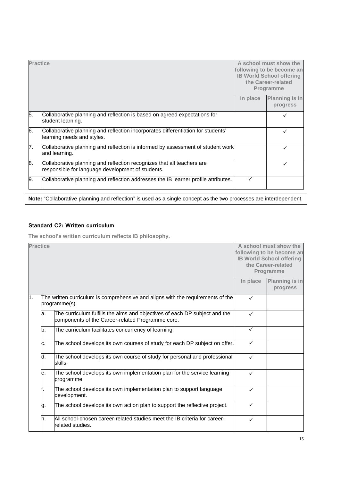| <b>Practice</b> |                                                                                                                             |          | A school must show the<br>following to be become an<br><b>IB World School offering</b><br>the Career-related<br>Programme |  |
|-----------------|-----------------------------------------------------------------------------------------------------------------------------|----------|---------------------------------------------------------------------------------------------------------------------------|--|
|                 |                                                                                                                             | In place | Planning is in<br>progress                                                                                                |  |
| 5.              | Collaborative planning and reflection is based on agreed expectations for<br>student learning.                              |          |                                                                                                                           |  |
| 6.              | Collaborative planning and reflection incorporates differentiation for students'<br>learning needs and styles.              |          | ✓                                                                                                                         |  |
| 7.              | Collaborative planning and reflection is informed by assessment of student work<br>and learning.                            |          | ✓                                                                                                                         |  |
| 8.              | Collaborative planning and reflection recognizes that all teachers are<br>responsible for language development of students. |          | ✓                                                                                                                         |  |
| 9.              | Collaborative planning and reflection addresses the IB learner profile attributes.                                          | ✓        |                                                                                                                           |  |
|                 | Note: "Collaborative planning and reflection" is used as a single concept as the two processes are interdependent.          |          |                                                                                                                           |  |

#### **Standard C2: Written curriculum**

**The school's written curriculum reflects IB philosophy.**

|     | <b>Practice</b>                                                                                                                |  |              | A school must show the<br>following to be become an<br><b>IB World School offering</b><br>the Career-related<br>Programme |
|-----|--------------------------------------------------------------------------------------------------------------------------------|--|--------------|---------------------------------------------------------------------------------------------------------------------------|
|     |                                                                                                                                |  | In place     | <b>Planning is in</b><br>progress                                                                                         |
| 1.  | The written curriculum is comprehensive and aligns with the requirements of the<br>programme(s).                               |  | $\checkmark$ |                                                                                                                           |
| la. | The curriculum fulfills the aims and objectives of each DP subject and the<br>components of the Career-related Programme core. |  | $\checkmark$ |                                                                                                                           |
| b.  | The curriculum facilitates concurrency of learning.                                                                            |  | $\checkmark$ |                                                                                                                           |
| lc. | The school develops its own courses of study for each DP subject on offer.                                                     |  | $\checkmark$ |                                                                                                                           |
| d.  | The school develops its own course of study for personal and professional<br>skills.                                           |  | ✓            |                                                                                                                           |
| е.  | The school develops its own implementation plan for the service learning<br>programme.                                         |  | $\checkmark$ |                                                                                                                           |
| f.  | The school develops its own implementation plan to support language<br>development.                                            |  | ✓            |                                                                                                                           |
| g.  | The school develops its own action plan to support the reflective project.                                                     |  | ✓            |                                                                                                                           |
| h.  | All school-chosen career-related studies meet the IB criteria for career-<br>related studies.                                  |  | $\checkmark$ |                                                                                                                           |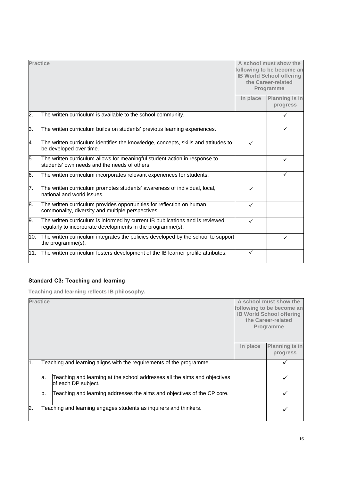| <b>Practice</b>  |                                                                                                                                             |              | A school must show the<br>following to be become an<br><b>IB World School offering</b><br>the Career-related<br>Programme |
|------------------|---------------------------------------------------------------------------------------------------------------------------------------------|--------------|---------------------------------------------------------------------------------------------------------------------------|
|                  |                                                                                                                                             | In place     | <b>Planning is in</b><br>progress                                                                                         |
| $\overline{2}$ . | The written curriculum is available to the school community.                                                                                |              | $\checkmark$                                                                                                              |
| 3.               | The written curriculum builds on students' previous learning experiences.                                                                   |              | $\checkmark$                                                                                                              |
| 4.               | The written curriculum identifies the knowledge, concepts, skills and attitudes to<br>be developed over time.                               | $\checkmark$ |                                                                                                                           |
| 5.               | The written curriculum allows for meaningful student action in response to<br>students' own needs and the needs of others.                  |              | ✓                                                                                                                         |
| 6.               | The written curriculum incorporates relevant experiences for students.                                                                      |              | ✓                                                                                                                         |
| 7.               | The written curriculum promotes students' awareness of individual, local,<br>national and world issues.                                     | $\checkmark$ |                                                                                                                           |
| 8.               | The written curriculum provides opportunities for reflection on human<br>commonality, diversity and multiple perspectives.                  | $\checkmark$ |                                                                                                                           |
| 9.               | The written curriculum is informed by current IB publications and is reviewed<br>regularly to incorporate developments in the programme(s). | ✓            |                                                                                                                           |
| 10.              | The written curriculum integrates the policies developed by the school to support<br>the programme(s).                                      |              | ✓                                                                                                                         |
| 11.              | The written curriculum fosters development of the IB learner profile attributes.                                                            | ✓            |                                                                                                                           |

### **Standard C3: Teaching and learning**

**Teaching and learning reflects IB philosophy.**

| <b>Practice</b> |     |                                                                                                  |          | A school must show the<br>following to be become an<br><b>IB World School offering</b><br>the Career-related<br>Programme |
|-----------------|-----|--------------------------------------------------------------------------------------------------|----------|---------------------------------------------------------------------------------------------------------------------------|
|                 |     |                                                                                                  | In place | <b>Planning is in</b><br>progress                                                                                         |
| l1.             |     | Teaching and learning aligns with the requirements of the programme.                             |          |                                                                                                                           |
|                 | la. | Teaching and learning at the school addresses all the aims and objectives<br>of each DP subject. |          |                                                                                                                           |
|                 | b.  | Teaching and learning addresses the aims and objectives of the CP core.                          |          |                                                                                                                           |
| 2.              |     | Teaching and learning engages students as inquirers and thinkers.                                |          |                                                                                                                           |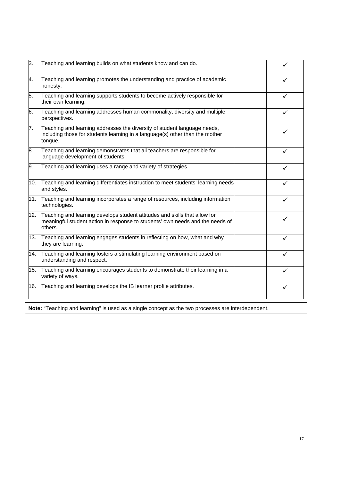| 3.  | Teaching and learning builds on what students know and can do.                                                                                                         |              |
|-----|------------------------------------------------------------------------------------------------------------------------------------------------------------------------|--------------|
| 4.  | Teaching and learning promotes the understanding and practice of academic<br>honesty.                                                                                  | ✓            |
| 5.  | Teaching and learning supports students to become actively responsible for<br>their own learning.                                                                      |              |
| 6.  | Teaching and learning addresses human commonality, diversity and multiple<br>perspectives.                                                                             | $\checkmark$ |
| 7.  | Teaching and learning addresses the diversity of student language needs,<br>including those for students learning in a language(s) other than the mother<br>tongue.    |              |
| 8.  | Teaching and learning demonstrates that all teachers are responsible for<br>language development of students.                                                          |              |
| 9.  | Teaching and learning uses a range and variety of strategies.                                                                                                          |              |
| 10. | Teaching and learning differentiates instruction to meet students' learning needs<br>and styles.                                                                       | ✓            |
| 11. | Teaching and learning incorporates a range of resources, including information<br>technologies.                                                                        | ✓            |
| 12. | Teaching and learning develops student attitudes and skills that allow for<br>meaningful student action in response to students' own needs and the needs of<br>others. | ✓            |
| 13. | Teaching and learning engages students in reflecting on how, what and why<br>they are learning.                                                                        | ✓            |
| 14. | Teaching and learning fosters a stimulating learning environment based on<br>understanding and respect.                                                                |              |
| 15. | Teaching and learning encourages students to demonstrate their learning in a<br>variety of ways.                                                                       | ✓            |
| 16. | Teaching and learning develops the IB learner profile attributes.                                                                                                      | ✓            |
|     |                                                                                                                                                                        |              |

**Note:** "Teaching and learning" is used as a single concept as the two processes are interdependent.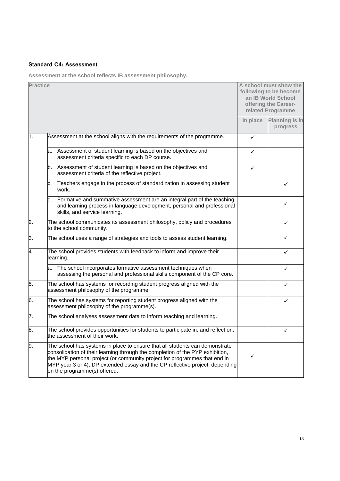#### **Standard C4: Assessment**

**Assessment at the school reflects IB assessment philosophy.**

| <b>Practice</b>  |    |                                                                                                                                                                                                                                                                                                                                                           |          | A school must show the<br>following to be become<br>an IB World School<br>offering the Career-<br>related Programme |
|------------------|----|-----------------------------------------------------------------------------------------------------------------------------------------------------------------------------------------------------------------------------------------------------------------------------------------------------------------------------------------------------------|----------|---------------------------------------------------------------------------------------------------------------------|
|                  |    |                                                                                                                                                                                                                                                                                                                                                           | In place | Planning is in<br>progress                                                                                          |
| 1.               |    | Assessment at the school aligns with the requirements of the programme.                                                                                                                                                                                                                                                                                   | ✓        |                                                                                                                     |
|                  | a. | Assessment of student learning is based on the objectives and<br>assessment criteria specific to each DP course.                                                                                                                                                                                                                                          | ✓        |                                                                                                                     |
|                  | b. | Assessment of student learning is based on the objectives and<br>assessment criteria of the reflective project.                                                                                                                                                                                                                                           | ✓        |                                                                                                                     |
|                  | с. | Teachers engage in the process of standardization in assessing student<br>work.                                                                                                                                                                                                                                                                           |          | ✓                                                                                                                   |
|                  | d. | Formative and summative assessment are an integral part of the teaching<br>and learning process in language development, personal and professional<br>skills, and service learning.                                                                                                                                                                       |          | ✓                                                                                                                   |
| 2.               |    | The school communicates its assessment philosophy, policy and procedures<br>to the school community.                                                                                                                                                                                                                                                      |          | ✓                                                                                                                   |
| З.               |    | The school uses a range of strategies and tools to assess student learning.                                                                                                                                                                                                                                                                               |          | ✓                                                                                                                   |
| 4.               |    | The school provides students with feedback to inform and improve their<br>learning.                                                                                                                                                                                                                                                                       |          | ✓                                                                                                                   |
|                  | a. | The school incorporates formative assessment techniques when<br>assessing the personal and professional skills component of the CP core.                                                                                                                                                                                                                  |          | ✓                                                                                                                   |
| 5.               |    | The school has systems for recording student progress aligned with the<br>assessment philosophy of the programme.                                                                                                                                                                                                                                         |          | ✓                                                                                                                   |
| 6.               |    | The school has systems for reporting student progress aligned with the<br>assessment philosophy of the programme(s).                                                                                                                                                                                                                                      |          | ✓                                                                                                                   |
| $\overline{7}$ . |    | The school analyses assessment data to inform teaching and learning.                                                                                                                                                                                                                                                                                      |          |                                                                                                                     |
| 8.               |    | The school provides opportunities for students to participate in, and reflect on,<br>the assessment of their work.                                                                                                                                                                                                                                        |          | ✓                                                                                                                   |
| 9.               |    | The school has systems in place to ensure that all students can demonstrate<br>consolidation of their learning through the completion of the PYP exhibition,<br>the MYP personal project (or community project for programmes that end in<br>MYP year 3 or 4), DP extended essay and the CP reflective project, depending<br>on the programme(s) offered. | ✓        |                                                                                                                     |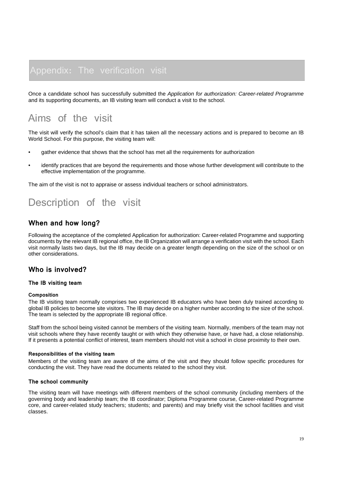Once a candidate school has successfully submitted the *Application for authorization: Career-related Programme* and its supporting documents, an IB visiting team will conduct a visit to the school.

## Aims of the visit

The visit will verify the school's claim that it has taken all the necessary actions and is prepared to become an IB World School. For this purpose, the visiting team will:

- gather evidence that shows that the school has met all the requirements for authorization
- identify practices that are beyond the requirements and those whose further development will contribute to the effective implementation of the programme.

The aim of the visit is not to appraise or assess individual teachers or school administrators.

## Description of the visit

#### **When and how long?**

Following the acceptance of the completed Application for authorization: Career-related Programme and supporting documents by the relevant IB regional office, the IB Organization will arrange a verification visit with the school. Each visit normally lasts two days, but the IB may decide on a greater length depending on the size of the school or on other considerations.

#### **Who is involved?**

#### **The IB visiting team**

#### **Composition**

The IB visiting team normally comprises two experienced IB educators who have been duly trained according to global IB policies to become site visitors. The IB may decide on a higher number according to the size of the school. The team is selected by the appropriate IB regional office.

Staff from the school being visited cannot be members of the visiting team. Normally, members of the team may not visit schools where they have recently taught or with which they otherwise have, or have had, a close relationship. If it presents a potential conflict of interest, team members should not visit a school in close proximity to their own.

#### **Responsibilities of the visiting team**

Members of the visiting team are aware of the aims of the visit and they should follow specific procedures for conducting the visit. They have read the documents related to the school they visit.

#### **The school community**

The visiting team will have meetings with different members of the school community (including members of the governing body and leadership team; the IB coordinator; Diploma Programme course, Career-related Programme core, and career-related study teachers; students; and parents) and may briefly visit the school facilities and visit classes.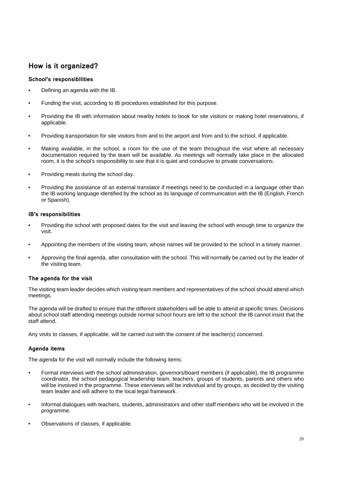#### **How is it organized?**

#### **School's responsibilities**

- Defining an agenda with the IB.
- Funding the visit, according to IB procedures established for this purpose.
- Providing the IB with information about nearby hotels to book for site visitors or making hotel reservations, if applicable.
- Providing transportation for site visitors from and to the airport and from and to the school, if applicable.
- Making available, in the school, a room for the use of the team throughout the visit where all necessary documentation required by the team will be available. As meetings will normally take place in the allocated room, it is the school's responsibility to see that it is quiet and conducive to private conversations.
- Providing meals during the school day.
- Providing the assistance of an external translator if meetings need to be conducted in a language other than the IB working language identified by the school as its language of communication with the IB (English, French or Spanish).

#### **IB's responsibilities**

- Providing the school with proposed dates for the visit and leaving the school with enough time to organize the visit.
- Appointing the members of the visiting team, whose names will be provided to the school in a timely manner.
- Approving the final agenda, after consultation with the school. This will normally be carried out by the leader of the visiting team.

#### **The agenda for the visit**

The visiting team leader decides which visiting team members and representatives of the school should attend which meetings.

The agenda will be drafted to ensure that the different stakeholders will be able to attend at specific times. Decisions about school staff attending meetings outside normal school hours are left to the school: the IB cannot insist that the staff attend.

Any visits to classes, if applicable, will be carried out with the consent of the teacher(s) concerned.

#### **Agenda items**

The agenda for the visit will normally include the following items:

- Formal interviews with the school administration, governors/board members (if applicable), the IB programme coordinator, the school pedagogical leadership team, teachers, groups of students, parents and others who will be involved in the programme. These interviews will be individual and by groups, as decided by the visiting team leader and will adhere to the local legal framework.
- Informal dialogues with teachers, students, administrators and other staff members who will be involved in the programme.
- Observations of classes, if applicable.